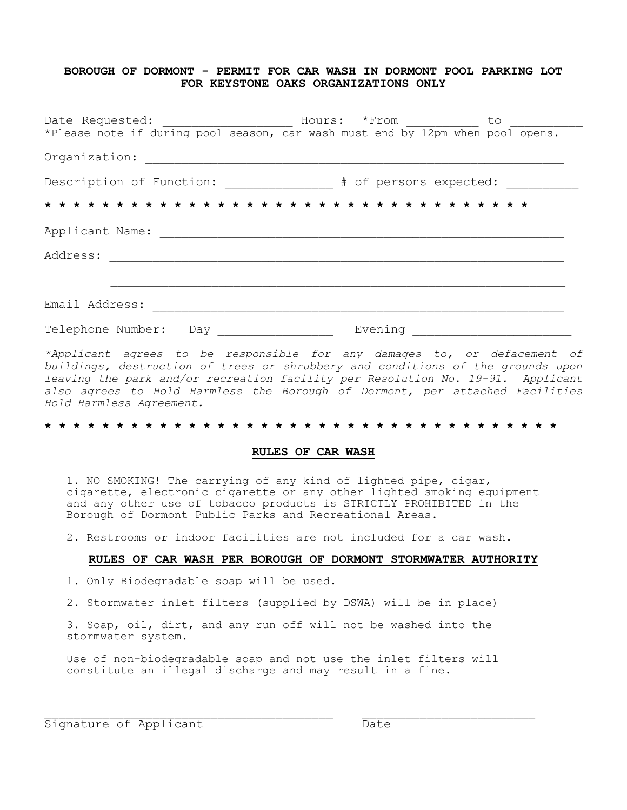## **BOROUGH OF DORMONT - PERMIT FOR CAR WASH IN DORMONT POOL PARKING LOT FOR KEYSTONE OAKS ORGANIZATIONS ONLY**

|                                                                                                                |         | to |
|----------------------------------------------------------------------------------------------------------------|---------|----|
| *Please note if during pool season, car wash must end by 12pm when pool opens.                                 |         |    |
| Organization:                                                                                                  |         |    |
| Description of Function: _____________ # of persons expected: _________                                        |         |    |
|                                                                                                                |         |    |
| Applicant Name: The Contract of the Contract of the Contract of the Contract of the Contract of the Contract o |         |    |
| Address:                                                                                                       |         |    |
|                                                                                                                |         |    |
| Email Address:                                                                                                 |         |    |
| Telephone Number:<br>Day                                                                                       | Evening |    |

*\*Applicant agrees to be responsible for any damages to, or defacement of buildings, destruction of trees or shrubbery and conditions of the grounds upon leaving the park and/or recreation facility per Resolution No. 19-91. Applicant also agrees to Hold Harmless the Borough of Dormont, per attached Facilities Hold Harmless Agreement.*

#### **\* \* \* \* \* \* \* \* \* \* \* \* \* \* \* \* \* \* \* \* \* \* \* \* \* \* \* \* \* \* \* \* \* \* \* \***

### **RULES OF CAR WASH**

1. NO SMOKING! The carrying of any kind of lighted pipe, cigar, cigarette, electronic cigarette or any other lighted smoking equipment and any other use of tobacco products is STRICTLY PROHIBITED in the Borough of Dormont Public Parks and Recreational Areas.

2. Restrooms or indoor facilities are not included for a car wash.

#### **RULES OF CAR WASH PER BOROUGH OF DORMONT STORMWATER AUTHORITY**

1. Only Biodegradable soap will be used.

2. Stormwater inlet filters (supplied by DSWA) will be in place)

3. Soap, oil, dirt, and any run off will not be washed into the stormwater system.

Use of non-biodegradable soap and not use the inlet filters will constitute an illegal discharge and may result in a fine.

Signature of Applicant Date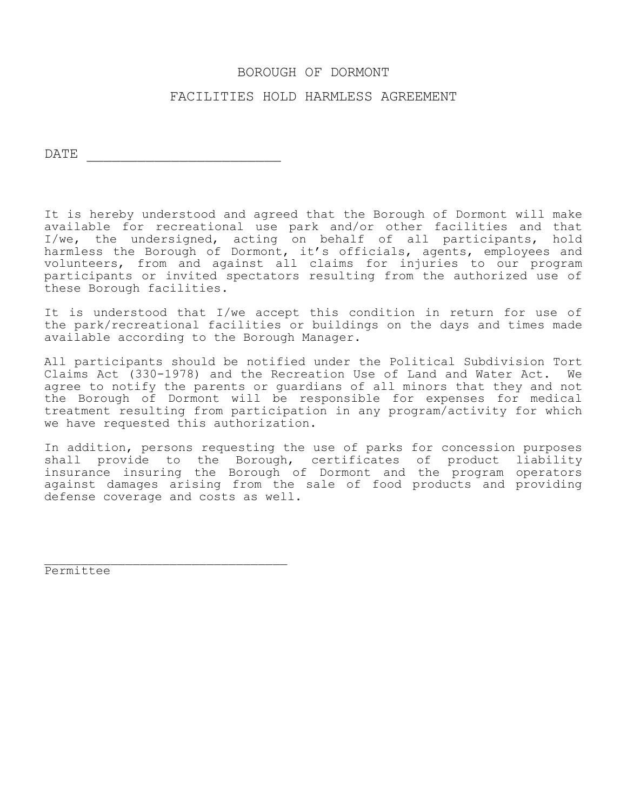# BOROUGH OF DORMONT

# FACILITIES HOLD HARMLESS AGREEMENT

DATE \_\_\_\_\_\_\_\_\_\_\_\_\_\_\_\_\_\_\_\_\_\_\_

It is hereby understood and agreed that the Borough of Dormont will make available for recreational use park and/or other facilities and that I/we, the undersigned, acting on behalf of all participants, hold harmless the Borough of Dormont, it's officials, agents, employees and volunteers, from and against all claims for injuries to our program participants or invited spectators resulting from the authorized use of these Borough facilities.

It is understood that I/we accept this condition in return for use of the park/recreational facilities or buildings on the days and times made available according to the Borough Manager.

All participants should be notified under the Political Subdivision Tort Claims Act (330-1978) and the Recreation Use of Land and Water Act. We agree to notify the parents or guardians of all minors that they and not the Borough of Dormont will be responsible for expenses for medical treatment resulting from participation in any program/activity for which we have requested this authorization.

In addition, persons requesting the use of parks for concession purposes shall provide to the Borough, certificates of product liability insurance insuring the Borough of Dormont and the program operators against damages arising from the sale of food products and providing defense coverage and costs as well.

Permittee